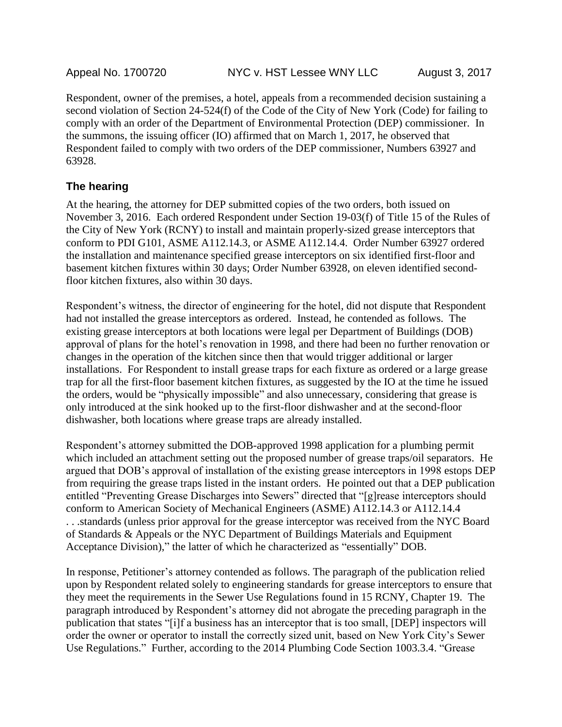Respondent, owner of the premises, a hotel, appeals from a recommended decision sustaining a second violation of Section 24-524(f) of the Code of the City of New York (Code) for failing to comply with an order of the Department of Environmental Protection (DEP) commissioner. In the summons, the issuing officer (IO) affirmed that on March 1, 2017, he observed that Respondent failed to comply with two orders of the DEP commissioner, Numbers 63927 and 63928.

#### **The hearing**

At the hearing, the attorney for DEP submitted copies of the two orders, both issued on November 3, 2016. Each ordered Respondent under Section 19-03(f) of Title 15 of the Rules of the City of New York (RCNY) to install and maintain properly-sized grease interceptors that conform to PDI G101, ASME A112.14.3, or ASME A112.14.4. Order Number 63927 ordered the installation and maintenance specified grease interceptors on six identified first-floor and basement kitchen fixtures within 30 days; Order Number 63928, on eleven identified secondfloor kitchen fixtures, also within 30 days.

Respondent's witness, the director of engineering for the hotel, did not dispute that Respondent had not installed the grease interceptors as ordered. Instead, he contended as follows. The existing grease interceptors at both locations were legal per Department of Buildings (DOB) approval of plans for the hotel's renovation in 1998, and there had been no further renovation or changes in the operation of the kitchen since then that would trigger additional or larger installations. For Respondent to install grease traps for each fixture as ordered or a large grease trap for all the first-floor basement kitchen fixtures, as suggested by the IO at the time he issued the orders, would be "physically impossible" and also unnecessary, considering that grease is only introduced at the sink hooked up to the first-floor dishwasher and at the second-floor dishwasher, both locations where grease traps are already installed.

Respondent's attorney submitted the DOB-approved 1998 application for a plumbing permit which included an attachment setting out the proposed number of grease traps/oil separators. He argued that DOB's approval of installation of the existing grease interceptors in 1998 estops DEP from requiring the grease traps listed in the instant orders. He pointed out that a DEP publication entitled "Preventing Grease Discharges into Sewers" directed that "[g]rease interceptors should conform to American Society of Mechanical Engineers (ASME) A112.14.3 or A112.14.4 . . .standards (unless prior approval for the grease interceptor was received from the NYC Board of Standards & Appeals or the NYC Department of Buildings Materials and Equipment Acceptance Division)," the latter of which he characterized as "essentially" DOB.

In response, Petitioner's attorney contended as follows. The paragraph of the publication relied upon by Respondent related solely to engineering standards for grease interceptors to ensure that they meet the requirements in the Sewer Use Regulations found in 15 RCNY, Chapter 19. The paragraph introduced by Respondent's attorney did not abrogate the preceding paragraph in the publication that states "[i]f a business has an interceptor that is too small, [DEP] inspectors will order the owner or operator to install the correctly sized unit, based on New York City's Sewer Use Regulations." Further, according to the 2014 Plumbing Code Section 1003.3.4. "Grease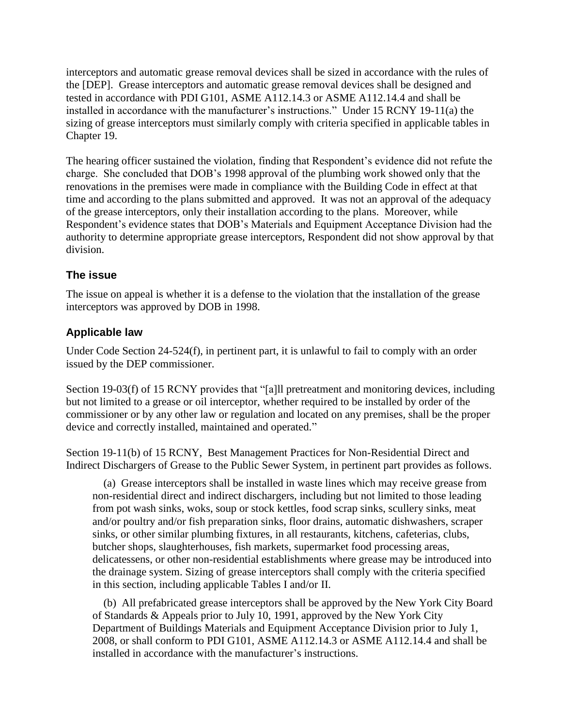interceptors and automatic grease removal devices shall be sized in accordance with the rules of the [DEP]. Grease interceptors and automatic grease removal devices shall be designed and tested in accordance with PDI G101, ASME A112.14.3 or ASME A112.14.4 and shall be installed in accordance with the manufacturer's instructions." Under 15 RCNY 19-11(a) the sizing of grease interceptors must similarly comply with criteria specified in applicable tables in Chapter 19.

The hearing officer sustained the violation, finding that Respondent's evidence did not refute the charge. She concluded that DOB's 1998 approval of the plumbing work showed only that the renovations in the premises were made in compliance with the Building Code in effect at that time and according to the plans submitted and approved. It was not an approval of the adequacy of the grease interceptors, only their installation according to the plans. Moreover, while Respondent's evidence states that DOB's Materials and Equipment Acceptance Division had the authority to determine appropriate grease interceptors, Respondent did not show approval by that division.

## **The issue**

The issue on appeal is whether it is a defense to the violation that the installation of the grease interceptors was approved by DOB in 1998.

# **Applicable law**

Under Code Section 24-524(f), in pertinent part, it is unlawful to fail to comply with an order issued by the DEP commissioner.

Section 19-03(f) of 15 RCNY provides that "[a]ll pretreatment and monitoring devices, including but not limited to a grease or oil interceptor, whether required to be installed by order of the commissioner or by any other law or regulation and located on any premises, shall be the proper device and correctly installed, maintained and operated."

Section 19-11(b) of 15 RCNY, Best Management Practices for Non-Residential Direct and Indirect Dischargers of Grease to the Public Sewer System, in pertinent part provides as follows.

(a) Grease interceptors shall be installed in waste lines which may receive grease from non-residential direct and indirect dischargers, including but not limited to those leading from pot wash sinks, woks, soup or stock kettles, food scrap sinks, scullery sinks, meat and/or poultry and/or fish preparation sinks, floor drains, automatic dishwashers, scraper sinks, or other similar plumbing fixtures, in all restaurants, kitchens, cafeterias, clubs, butcher shops, slaughterhouses, fish markets, supermarket food processing areas, delicatessens, or other non-residential establishments where grease may be introduced into the drainage system. Sizing of grease interceptors shall comply with the criteria specified in this section, including applicable Tables I and/or II.

(b) All prefabricated grease interceptors shall be approved by the New York City Board of Standards & Appeals prior to July 10, 1991, approved by the New York City Department of Buildings Materials and Equipment Acceptance Division prior to July 1, 2008, or shall conform to PDI G101, ASME A112.14.3 or ASME A112.14.4 and shall be installed in accordance with the manufacturer's instructions.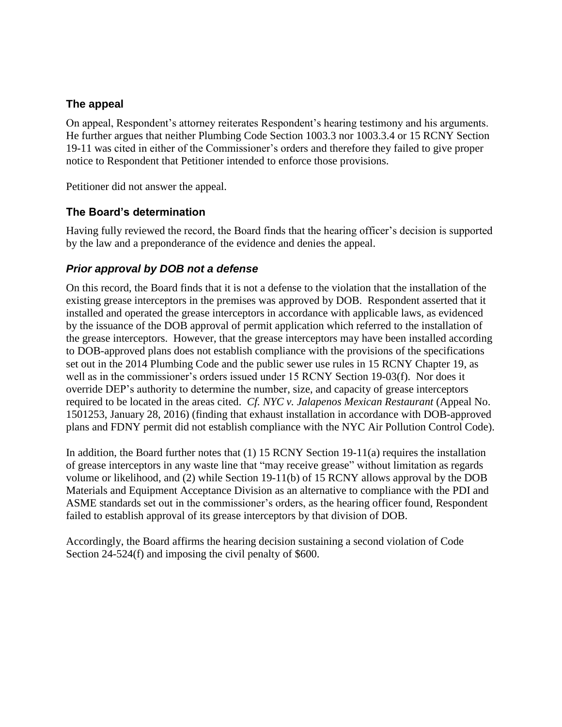#### **The appeal**

On appeal, Respondent's attorney reiterates Respondent's hearing testimony and his arguments. He further argues that neither Plumbing Code Section 1003.3 nor 1003.3.4 or 15 RCNY Section 19-11 was cited in either of the Commissioner's orders and therefore they failed to give proper notice to Respondent that Petitioner intended to enforce those provisions.

Petitioner did not answer the appeal.

## **The Board's determination**

Having fully reviewed the record, the Board finds that the hearing officer's decision is supported by the law and a preponderance of the evidence and denies the appeal.

## *Prior approval by DOB not a defense*

On this record, the Board finds that it is not a defense to the violation that the installation of the existing grease interceptors in the premises was approved by DOB. Respondent asserted that it installed and operated the grease interceptors in accordance with applicable laws, as evidenced by the issuance of the DOB approval of permit application which referred to the installation of the grease interceptors. However, that the grease interceptors may have been installed according to DOB-approved plans does not establish compliance with the provisions of the specifications set out in the 2014 Plumbing Code and the public sewer use rules in 15 RCNY Chapter 19, as well as in the commissioner's orders issued under 15 RCNY Section 19-03(f). Nor does it override DEP's authority to determine the number, size, and capacity of grease interceptors required to be located in the areas cited. *Cf. NYC v. Jalapenos Mexican Restaurant* (Appeal No. 1501253, January 28, 2016) (finding that exhaust installation in accordance with DOB-approved plans and FDNY permit did not establish compliance with the NYC Air Pollution Control Code).

In addition, the Board further notes that (1) 15 RCNY Section 19-11(a) requires the installation of grease interceptors in any waste line that "may receive grease" without limitation as regards volume or likelihood, and (2) while Section 19-11(b) of 15 RCNY allows approval by the DOB Materials and Equipment Acceptance Division as an alternative to compliance with the PDI and ASME standards set out in the commissioner's orders, as the hearing officer found, Respondent failed to establish approval of its grease interceptors by that division of DOB.

Accordingly, the Board affirms the hearing decision sustaining a second violation of Code Section 24-524(f) and imposing the civil penalty of \$600.